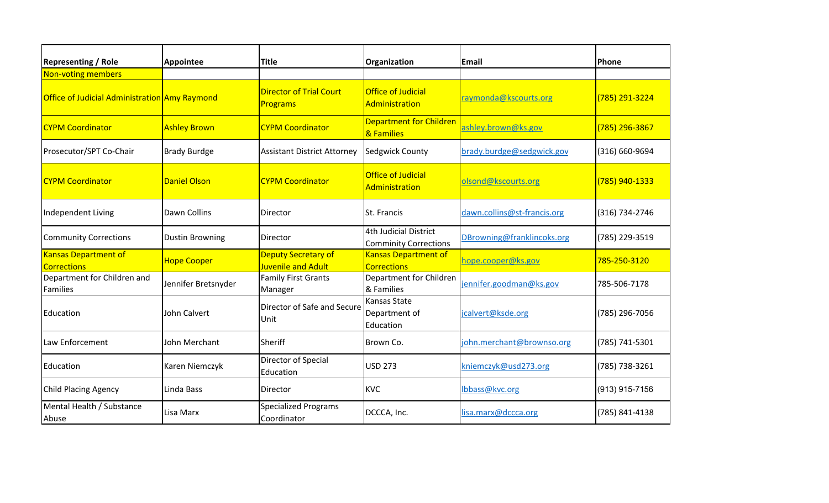| <b>Representing / Role</b>                        | <b>Appointee</b>       | <b>Title</b>                                     | Organization                                          | Email                       | Phone          |
|---------------------------------------------------|------------------------|--------------------------------------------------|-------------------------------------------------------|-----------------------------|----------------|
| Non-voting members                                |                        |                                                  |                                                       |                             |                |
| Office of Judicial Administration Amy Raymond     |                        | <b>Director of Trial Court</b><br>Programs       | <b>Office of Judicial</b><br>Administration           | raymonda@kscourts.org       | (785) 291-3224 |
| <b>CYPM Coordinator</b>                           | <b>Ashley Brown</b>    | <b>CYPM Coordinator</b>                          | <b>Department for Children</b><br>& Families          | ashley.brown@ks.gov         | (785) 296-3867 |
| Prosecutor/SPT Co-Chair                           | <b>Brady Burdge</b>    | <b>Assistant District Attorney</b>               | <b>Sedgwick County</b>                                | brady.burdge@sedgwick.gov   | (316) 660-9694 |
| <b>CYPM Coordinator</b>                           | <b>Daniel Olson</b>    | <b>CYPM Coordinator</b>                          | <b>Office of Judicial</b><br>Administration           | olsond@kscourts.org         | (785) 940-1333 |
| Independent Living                                | Dawn Collins           | Director                                         | St. Francis                                           | dawn.collins@st-francis.org | (316) 734-2746 |
| <b>Community Corrections</b>                      | <b>Dustin Browning</b> | Director                                         | 4th Judicial District<br><b>Comminity Corrections</b> | DBrowning@franklincoks.org  | (785) 229-3519 |
| <b>Kansas Department of</b><br><b>Corrections</b> | <b>Hope Cooper</b>     | <b>Deputy Secretary of</b><br>Juvenile and Adult | <b>Kansas Department of</b><br><b>Corrections</b>     | hope.cooper@ks.gov          | 785-250-3120   |
| Department for Children and<br>Families           | Jennifer Bretsnyder    | <b>Family First Grants</b><br>Manager            | Department for Children<br>& Families                 | jennifer.goodman@ks.gov     | 785-506-7178   |
| Education                                         | <b>John Calvert</b>    | Director of Safe and Secure<br>Unit              | Kansas State<br>Department of<br>Education            | jcalvert@ksde.org           | (785) 296-7056 |
| Law Enforcement                                   | John Merchant          | Sheriff                                          | Brown Co.                                             | john.merchant@brownso.org   | (785) 741-5301 |
| Education                                         | Karen Niemczyk         | Director of Special<br>Education                 | <b>USD 273</b>                                        | kniemczyk@usd273.org        | (785) 738-3261 |
| <b>Child Placing Agency</b>                       | Linda Bass             | <b>Director</b>                                  | <b>KVC</b>                                            | lbbass@kvc.org              | (913) 915-7156 |
| Mental Health / Substance<br>Abuse                | Lisa Marx              | <b>Specialized Programs</b><br>Coordinator       | DCCCA, Inc.                                           | lisa.marx@dccca.org         | (785) 841-4138 |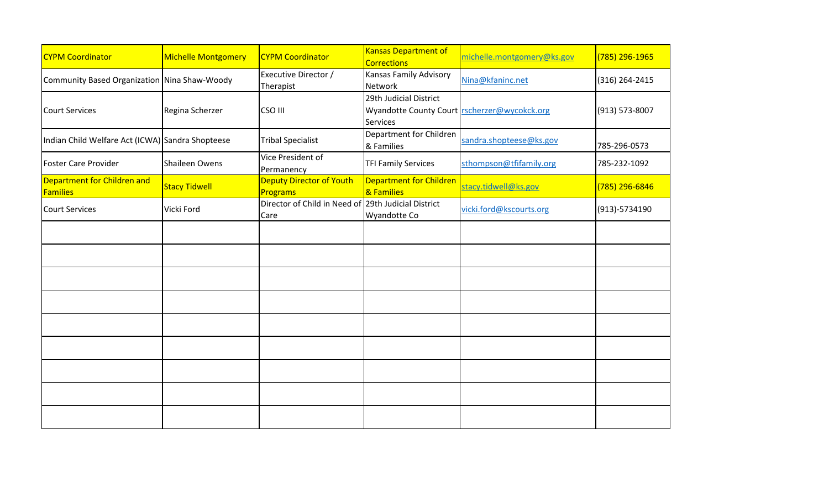| <b>CYPM Coordinator</b>                          | <b>Michelle Montgomery</b> | <b>CYPM Coordinator</b>                                     | <b>Kansas Department of</b><br><b>Corrections</b>                                         | michelle.montgomery@ks.gov | (785) 296-1965 |
|--------------------------------------------------|----------------------------|-------------------------------------------------------------|-------------------------------------------------------------------------------------------|----------------------------|----------------|
| Community Based Organization Nina Shaw-Woody     |                            | <b>Executive Director /</b><br>Therapist                    | Kansas Family Advisory<br>Network                                                         | Nina@kfaninc.net           | (316) 264-2415 |
| <b>Court Services</b>                            | Regina Scherzer            | CSO III                                                     | 29th Judicial District<br>Wyandotte County Court rscherzer@wycokck.org<br><b>Services</b> |                            | (913) 573-8007 |
| Indian Child Welfare Act (ICWA) Sandra Shopteese |                            | <b>Tribal Specialist</b>                                    | Department for Children<br>& Families                                                     | sandra.shopteese@ks.gov    | 785-296-0573   |
| <b>Foster Care Provider</b>                      | Shaileen Owens             | Vice President of<br>Permanency                             | <b>TFI Family Services</b>                                                                | sthompson@tfifamily.org    | 785-232-1092   |
| Department for Children and<br><b>Families</b>   | <b>Stacy Tidwell</b>       | <b>Deputy Director of Youth</b><br><b>Programs</b>          | <b>Department for Children</b><br>& Families                                              | stacy.tidwell@ks.gov       | (785) 296-6846 |
| <b>Court Services</b>                            | Vicki Ford                 | Director of Child in Need of 29th Judicial District<br>Care | <b>Wyandotte Co</b>                                                                       | vicki.ford@kscourts.org    | (913)-5734190  |
|                                                  |                            |                                                             |                                                                                           |                            |                |
|                                                  |                            |                                                             |                                                                                           |                            |                |
|                                                  |                            |                                                             |                                                                                           |                            |                |
|                                                  |                            |                                                             |                                                                                           |                            |                |
|                                                  |                            |                                                             |                                                                                           |                            |                |
|                                                  |                            |                                                             |                                                                                           |                            |                |
|                                                  |                            |                                                             |                                                                                           |                            |                |
|                                                  |                            |                                                             |                                                                                           |                            |                |
|                                                  |                            |                                                             |                                                                                           |                            |                |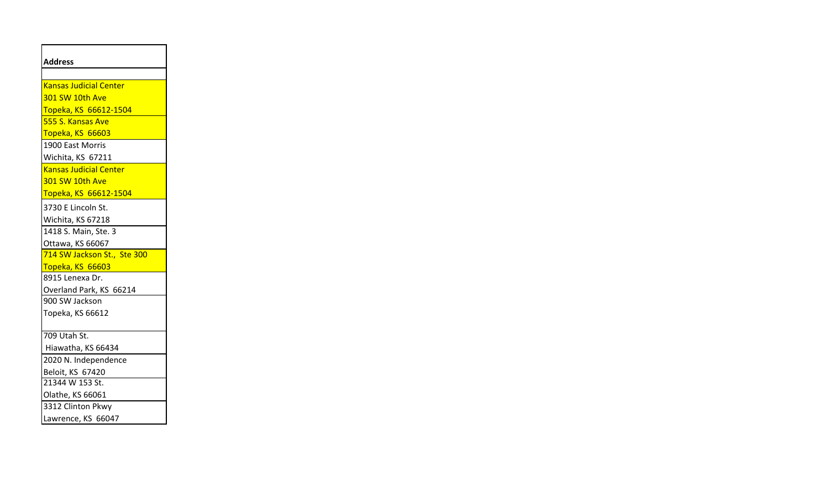| <b>Address</b>                      |
|-------------------------------------|
| <b>Kansas Judicial Center</b>       |
| 301 SW 10th Ave                     |
| Topeka, KS 66612-1504               |
| 555 S. Kansas Ave                   |
| Topeka, KS 66603                    |
| 1900 East Morris                    |
| Wichita, KS 67211                   |
| <b>Kansas Judicial Center</b>       |
| 301 SW 10th Ave                     |
| Topeka, KS 66612-1504               |
| 3730 E Lincoln St.                  |
| Wichita, KS 67218                   |
| 1418 S. Main, Ste. 3                |
| Ottawa, KS 66067                    |
| 714 SW Jackson St., Ste 300         |
| Topeka, KS 66603                    |
| 8915 Lenexa Dr.                     |
| Overland Park, KS 66214             |
| 900 SW Jackson                      |
| Topeka, KS 66612                    |
|                                     |
| 709 Utah St.                        |
| Hiawatha, KS 66434                  |
| 2020 N. Independence                |
| Beloit, KS 67420<br>21344 W 153 St. |
| Olathe, KS 66061                    |
| 3312 Clinton Pkwy                   |
| Lawrence, KS 66047                  |